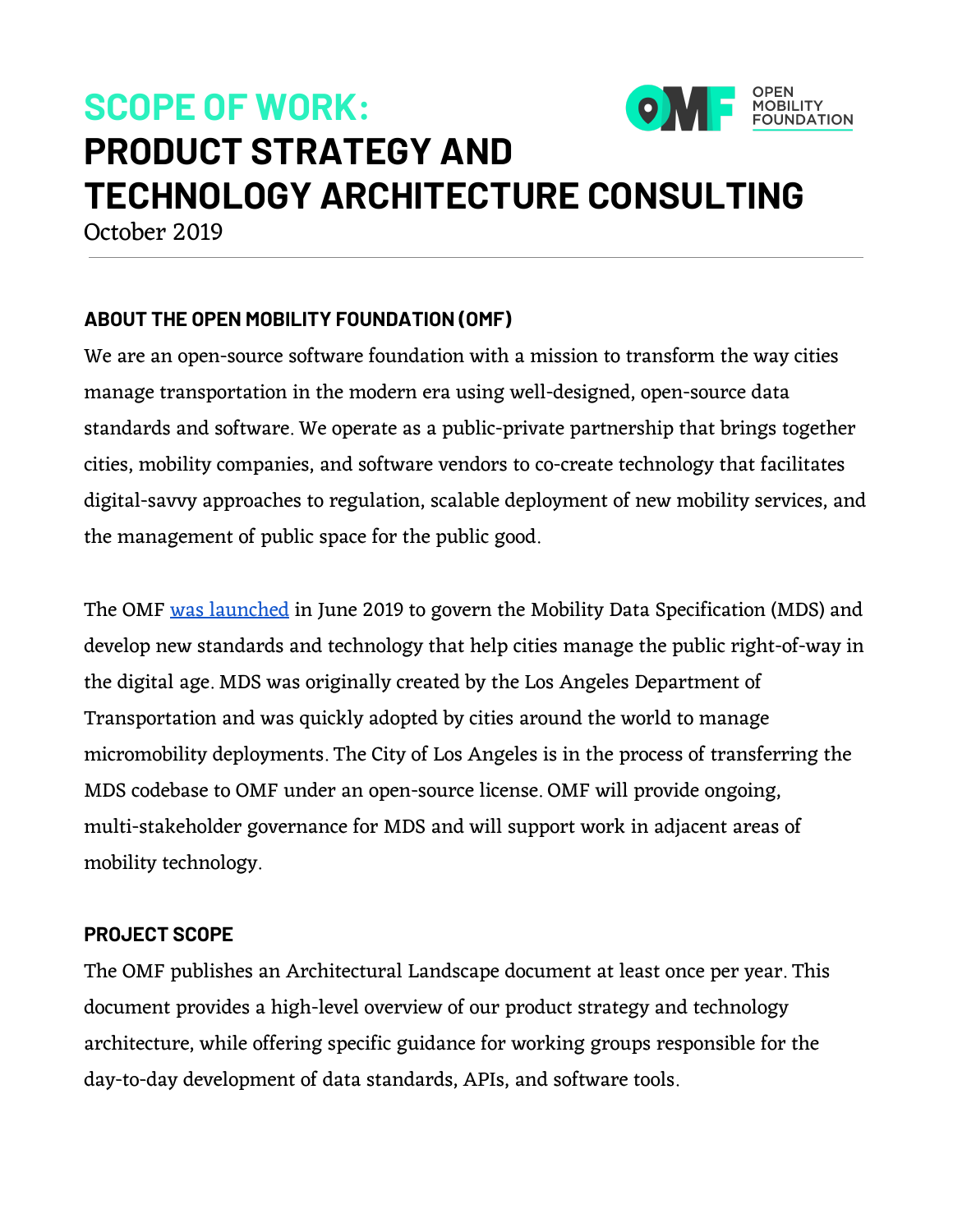# **ONE** POPEN **SCOPE OF WORK: PRODUCT STRATEGY AND TECHNOLOGY ARCHITECTURE CONSULTING**

October 2019

# **ABOUT THE OPEN MOBILITY FOUNDATION (OMF)**

We are an open-source software foundation with a mission to transform the way cities manage transportation in the modern era using well-designed, open-source data standards and software. We operate as a public-private partnership that brings together cities, mobility companies, and software vendors to co-create technology that facilitates digital-savvy approaches to regulation, scalable deployment of new mobility services, and the management of public space for the public good.

The OMF was [launched](http://www.prweb.com/releases/global_coalition_of_cities_launches_the_open_mobility_foundation/prweb16402220.htm) in June 2019 to govern the Mobility Data Specification (MDS) and develop new standards and technology that help cities manage the public right-of-way in the digital age. MDS was originally created by the Los Angeles Department of Transportation and was quickly adopted by cities around the world to manage micromobility deployments. The City of Los Angeles is in the process of transferring the MDS codebase to OMF under an open-source license. OMF will provide ongoing, multi-stakeholder governance for MDS and will support work in adjacent areas of mobility technology.

## **PROJECT SCOPE**

The OMF publishes an Architectural Landscape document at least once per year. This document provides a high-level overview of our product strategy and technology architecture, while offering specific guidance for working groups responsible for the day-to-day development of data standards, APIs, and software tools.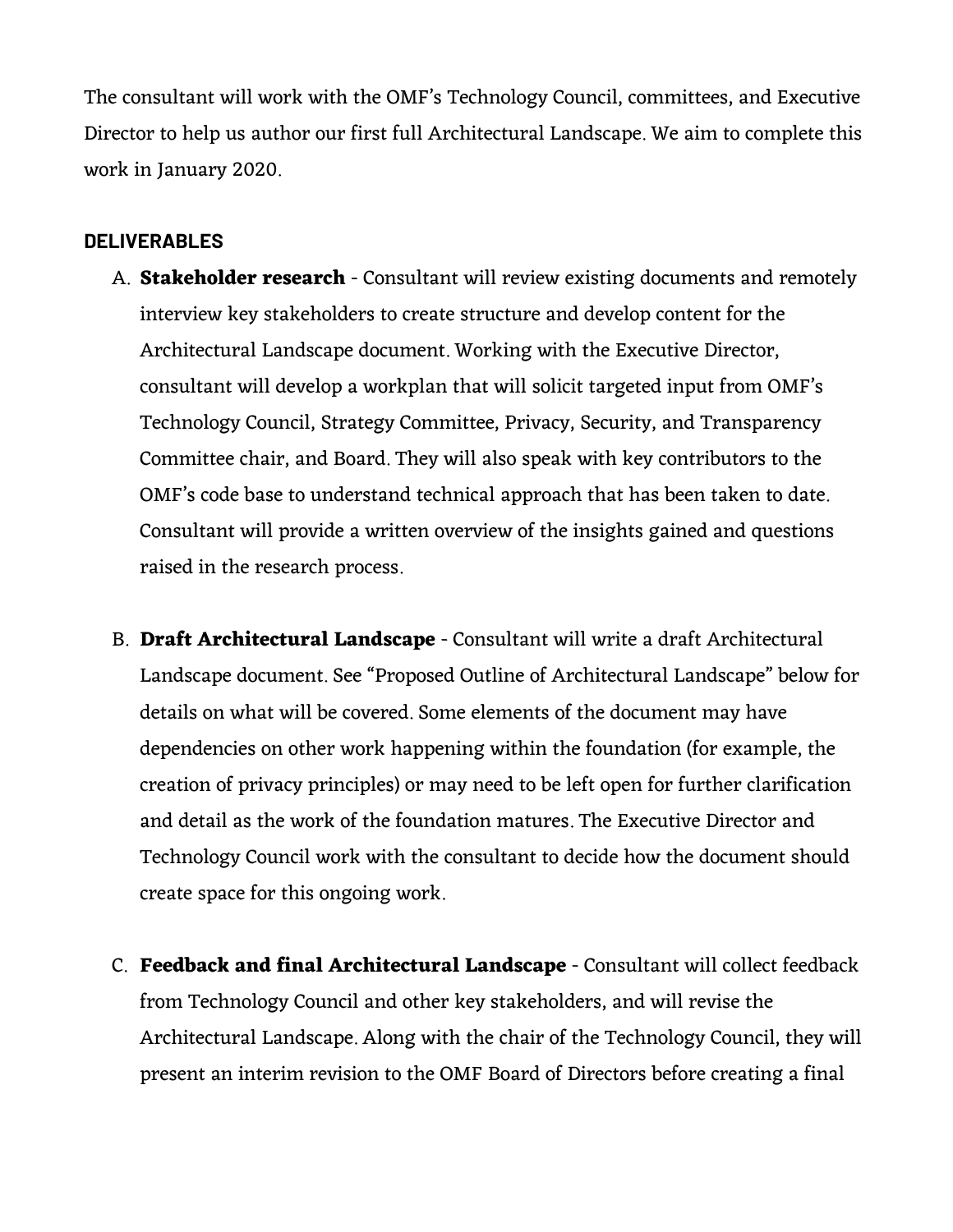The consultant will work with the OMF's Technology Council, committees, and Executive Director to help us author our first full Architectural Landscape. We aim to complete this work in January 2020.

#### **DELIVERABLES**

- A. **Stakeholder research** Consultant will review existing documents and remotely interview key stakeholders to create structure and develop content for the Architectural Landscape document. Working with the Executive Director, consultant will develop a workplan that will solicit targeted input from OMF's Technology Council, Strategy Committee, Privacy, Security, and Transparency Committee chair, and Board. They will also speak with key contributors to the OMF's code base to understand technical approach that has been taken to date. Consultant will provide a written overview of the insights gained and questions raised in the research process.
- B. **Draft Architectural Landscape** Consultant will write a draft Architectural Landscape document. See "Proposed Outline of Architectural Landscape" below for details on what will be covered. Some elements of the document may have dependencies on other work happening within the foundation (for example, the creation of privacy principles) or may need to be left open for further clarification and detail as the work of the foundation matures. The Executive Director and Technology Council work with the consultant to decide how the document should create space for this ongoing work.
- C. **Feedback and final Architectural Landscape** Consultant will collect feedback from Technology Council and other key stakeholders, and will revise the Architectural Landscape. Along with the chair of the Technology Council, they will present an interim revision to the OMF Board of Directors before creating a final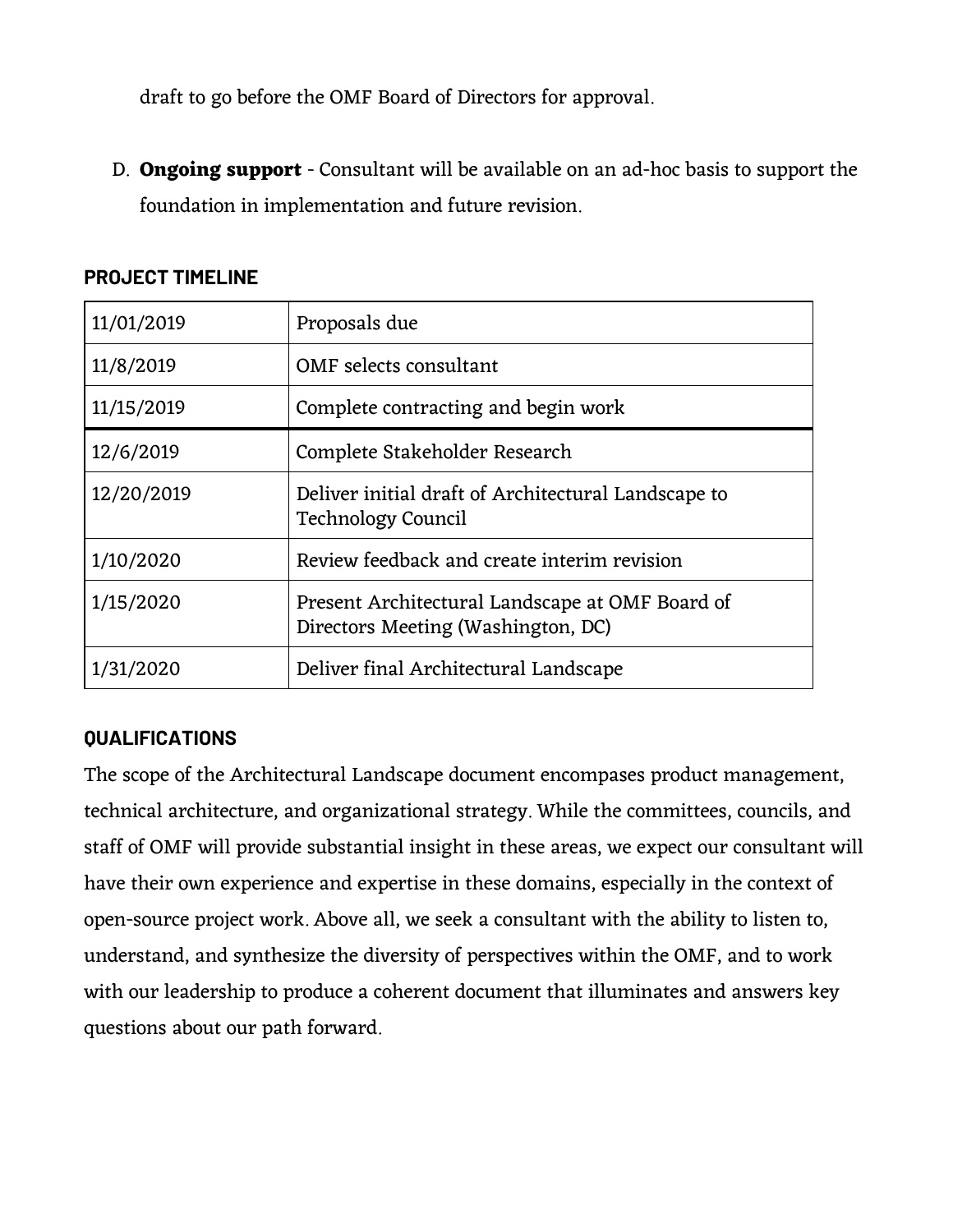draft to go before the OMF Board of Directors for approval.

D. **Ongoing support** - Consultant will be available on an ad-hoc basis to support the foundation in implementation and future revision.

| 11/01/2019 | Proposals due                                                                         |
|------------|---------------------------------------------------------------------------------------|
| 11/8/2019  | OMF selects consultant                                                                |
| 11/15/2019 | Complete contracting and begin work                                                   |
| 12/6/2019  | Complete Stakeholder Research                                                         |
| 12/20/2019 | Deliver initial draft of Architectural Landscape to<br>Technology Council             |
| 1/10/2020  | Review feedback and create interim revision                                           |
| 1/15/2020  | Present Architectural Landscape at OMF Board of<br>Directors Meeting (Washington, DC) |
| 1/31/2020  | Deliver final Architectural Landscape                                                 |

#### **PROJECT TIMELINE**

## **QUALIFICATIONS**

The scope of the Architectural Landscape document encompases product management, technical architecture, and organizational strategy. While the committees, councils, and staff of OMF will provide substantial insight in these areas, we expect our consultant will have their own experience and expertise in these domains, especially in the context of open-source project work. Above all, we seek a consultant with the ability to listen to, understand, and synthesize the diversity of perspectives within the OMF, and to work with our leadership to produce a coherent document that illuminates and answers key questions about our path forward.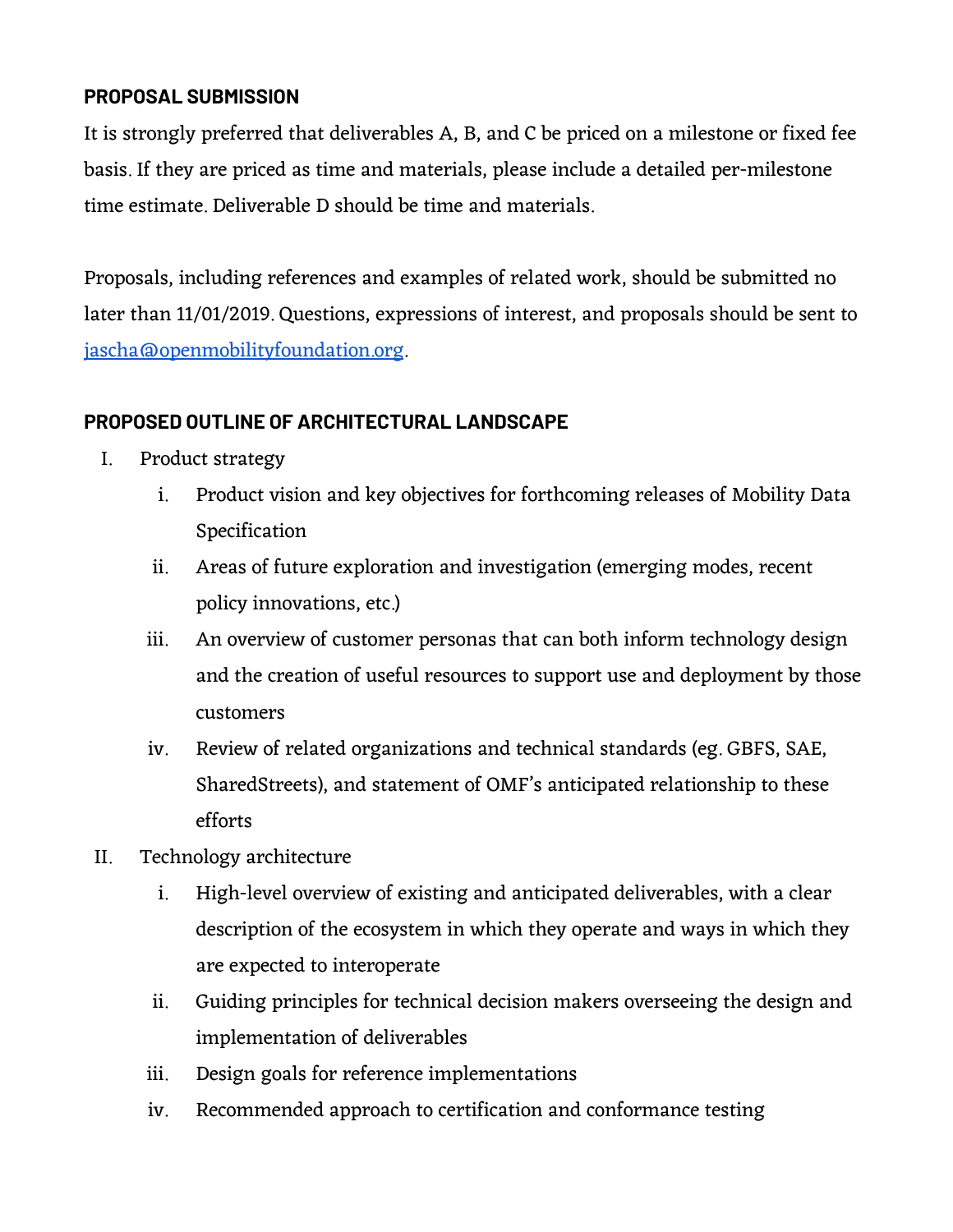# **PROPOSAL SUBMISSION**

It is strongly preferred that deliverables A, B, and C be priced on a milestone or fixed fee basis. If they are priced as time and materials, please include a detailed per-milestone time estimate. Deliverable D should be time and materials.

Proposals, including references and examples of related work, should be submitted no later than 11/01/2019. Questions, expressions of interest, and proposals should be sent to [jascha@openmobilityfoundation.org.](mailto:jascha@openmobilityfoundation.org)

# **PROPOSED OUTLINE OF ARCHITECTURAL LANDSCAPE**

- I. Product strategy
	- i. Product vision and key objectives for forthcoming releases of Mobility Data Specification
	- ii. Areas of future exploration and investigation (emerging modes, recent policy innovations, etc.)
	- iii. An overview of customer personas that can both inform technology design and the creation of useful resources to support use and deployment by those customers
	- iv. Review of related organizations and technical standards (eg. GBFS, SAE, SharedStreets), and statement of OMF's anticipated relationship to these efforts
- II. Technology architecture
	- i. High-level overview of existing and anticipated deliverables, with a clear description of the ecosystem in which they operate and ways in which they are expected to interoperate
	- ii. Guiding principles for technical decision makers overseeing the design and implementation of deliverables
	- iii. Design goals for reference implementations
	- iv. Recommended approach to certification and conformance testing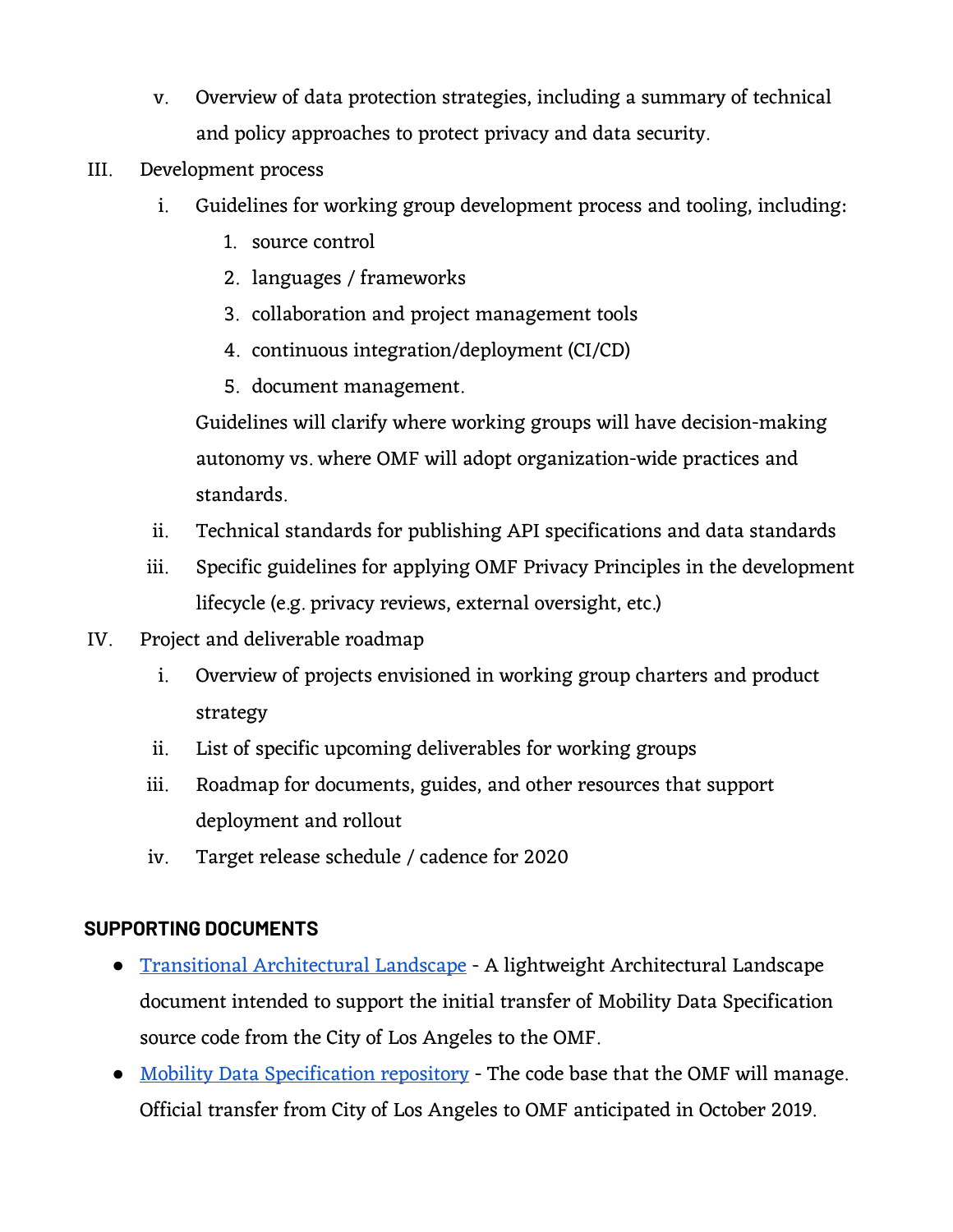- v. Overview of data protection strategies, including a summary of technical and policy approaches to protect privacy and data security.
- III. Development process
	- i. Guidelines for working group development process and tooling, including:
		- 1. source control
		- 2. languages / frameworks
		- 3. collaboration and project management tools
		- 4. continuous integration/deployment (CI/CD)
		- 5. document management.

Guidelines will clarify where working groups will have decision-making autonomy vs. where OMF will adopt organization-wide practices and standards.

- ii. Technical standards for publishing API specifications and data standards
- iii. Specific guidelines for applying OMF Privacy Principles in the development lifecycle (e.g. privacy reviews, external oversight, etc.)
- IV. Project and deliverable roadmap
	- i. Overview of projects envisioned in working group charters and product strategy
	- ii. List of specific upcoming deliverables for working groups
	- iii. Roadmap for documents, guides, and other resources that support deployment and rollout
	- iv. Target release schedule / cadence for 2020

## **SUPPORTING DOCUMENTS**

- Transitional [Architectural](https://drive.google.com/open?id=1v0GVxFF-meEJ9SPSUtTfW-2jHFaCoZt3) Landscape A lightweight Architectural Landscape document intended to support the initial transfer of Mobility Data Specification source code from the City of Los Angeles to the OMF.
- Mobility Data [Specification](https://github.com/CityOfLosAngeles/mobility-data-specification) repository The code base that the OMF will manage. Official transfer from City of Los Angeles to OMF anticipated in October 2019.